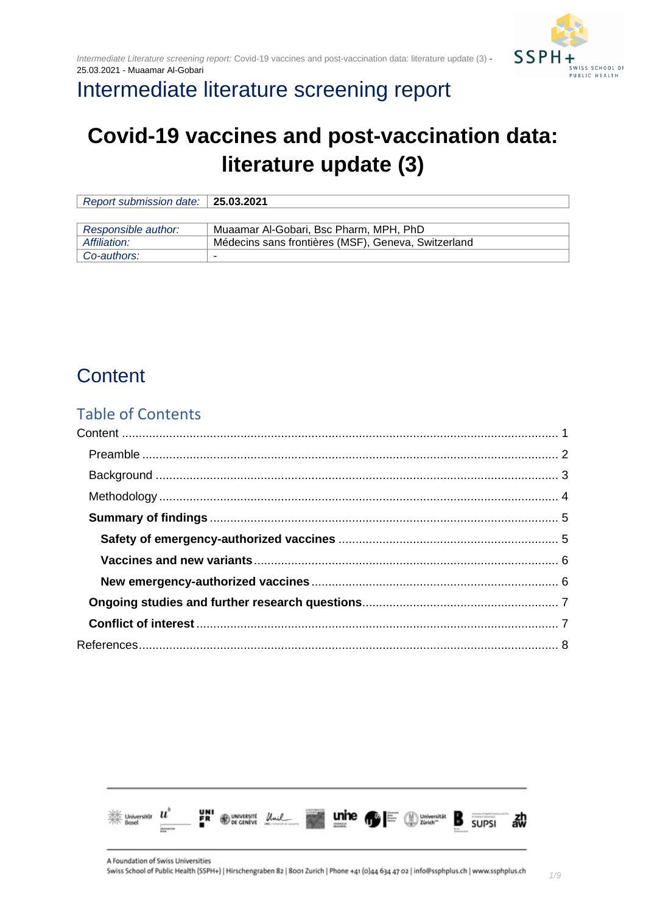

## Intermediate literature screening report

# **Covid-19 vaccines and post-vaccination data: literature update (3)**

| Report submission date: $\vert$ 25.03.2021 |                                                     |
|--------------------------------------------|-----------------------------------------------------|
|                                            |                                                     |
| Responsible author:                        | Muaamar Al-Gobari, Bsc Pharm, MPH, PhD              |
| Affiliation:                               | Médecins sans frontières (MSF), Geneva, Switzerland |
| Co-authors:                                | -                                                   |

## <span id="page-0-0"></span>**Content**

#### Table of Contents

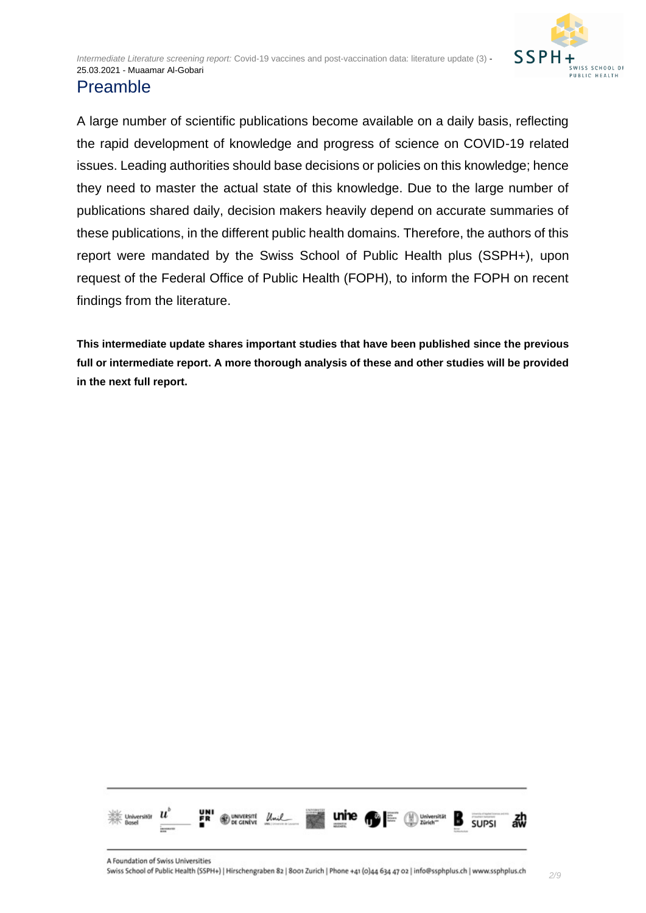

#### <span id="page-1-0"></span>Preamble

A large number of scientific publications become available on a daily basis, reflecting the rapid development of knowledge and progress of science on COVID-19 related issues. Leading authorities should base decisions or policies on this knowledge; hence they need to master the actual state of this knowledge. Due to the large number of publications shared daily, decision makers heavily depend on accurate summaries of these publications, in the different public health domains. Therefore, the authors of this report were mandated by the Swiss School of Public Health plus (SSPH+), upon request of the Federal Office of Public Health (FOPH), to inform the FOPH on recent findings from the literature.

**This intermediate update shares important studies that have been published since the previous full or intermediate report. A more thorough analysis of these and other studies will be provided in the next full report.**

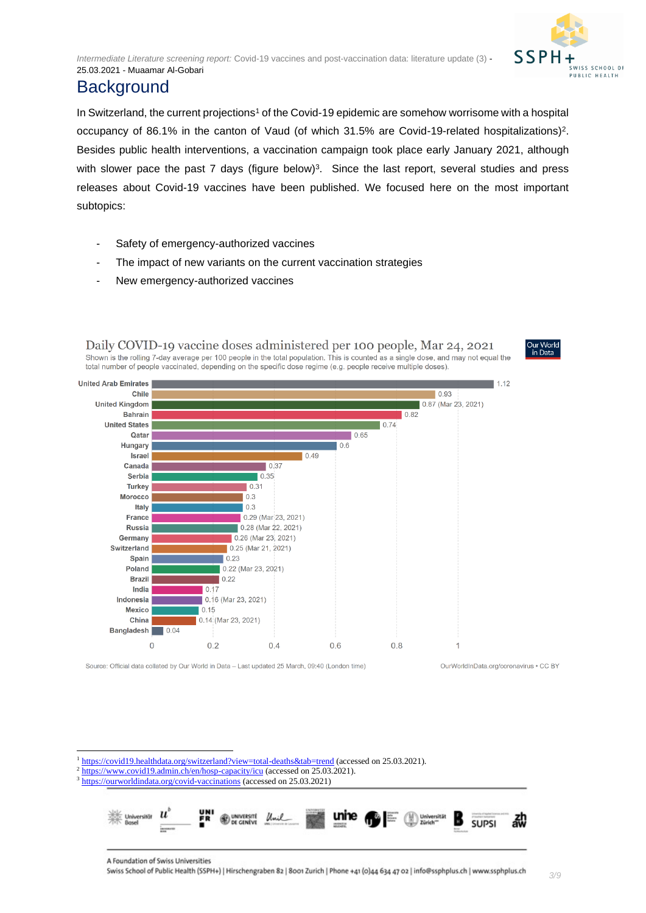

### <span id="page-2-0"></span>**Background**

In Switzerland, the current projections<sup>1</sup> of the Covid-19 epidemic are somehow worrisome with a hospital occupancy of 86.1% in the canton of Vaud (of which 31.5% are Covid-19-related hospitalizations)<sup>2</sup>. Besides public health interventions, a vaccination campaign took place early January 2021, although with slower pace the past 7 days (figure below)<sup>3</sup>. Since the last report, several studies and press releases about Covid-19 vaccines have been published. We focused here on the most important subtopics:

- Safety of emergency-authorized vaccines
- The impact of new variants on the current vaccination strategies
- New emergency-authorized vaccines



Source: Official data collated by Our World in Data - Last updated 25 March, 09:40 (London time)

OurWorldInData.org/coronavirus . CC BY

<sup>1</sup> <https://covid19.healthdata.org/switzerland?view=total-deaths&tab=trend> (accessed on 25.03.2021).

- <sup>2</sup> <https://www.covid19.admin.ch/en/hosp-capacity/icu> (accessed on 25.03.2021).
- <sup>3</sup> <https://ourworldindata.org/covid-vaccinations> (accessed on 25.03.2021)

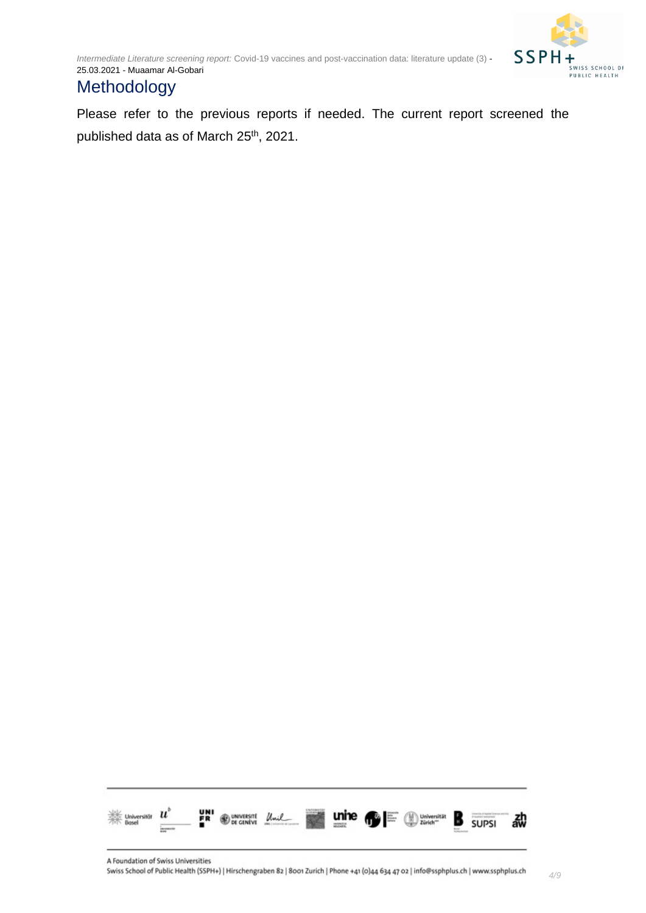

*4/9*

### <span id="page-3-0"></span>**Methodology**

Please refer to the previous reports if needed. The current report screened the published data as of March 25<sup>th</sup>, 2021.

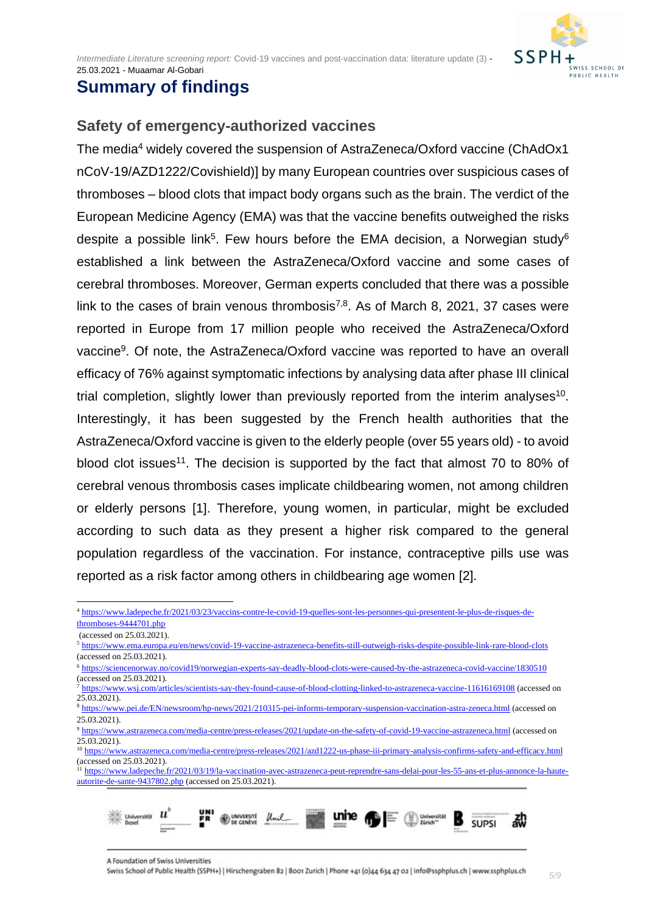

### <span id="page-4-0"></span>**Summary of findings**

#### <span id="page-4-1"></span>**Safety of emergency-authorized vaccines**

The media<sup>4</sup> widely covered the suspension of AstraZeneca/Oxford vaccine (ChAdOx1 nCoV-19/AZD1222/Covishield)] by many European countries over suspicious cases of thromboses – blood clots that impact body organs such as the brain. The verdict of the European Medicine Agency (EMA) was that the vaccine benefits outweighed the risks despite a possible link<sup>5</sup>. Few hours before the EMA decision, a Norwegian study<sup>6</sup> established a link between the AstraZeneca/Oxford vaccine and some cases of cerebral thromboses. Moreover, German experts concluded that there was a possible link to the cases of brain venous thrombosis<sup>7,8</sup>. As of March 8, 2021, 37 cases were reported in Europe from 17 million people who received the AstraZeneca/Oxford vaccine<sup>9</sup>. Of note, the AstraZeneca/Oxford vaccine was reported to have an overall efficacy of 76% against symptomatic infections by analysing data after phase III clinical trial completion, slightly lower than previously reported from the interim analyses<sup>10</sup>. Interestingly, it has been suggested by the French health authorities that the AstraZeneca/Oxford vaccine is given to the elderly people (over 55 years old) - to avoid blood clot issues<sup>11</sup>. The decision is supported by the fact that almost 70 to 80% of cerebral venous thrombosis cases implicate childbearing women, not among children or elderly persons [1]. Therefore, young women, in particular, might be excluded according to such data as they present a higher risk compared to the general population regardless of the vaccination. For instance, contraceptive pills use was reported as a risk factor among others in childbearing age women [2].

<sup>&</sup>lt;sup>11</sup> [https://www.ladepeche.fr/2021/03/19/la-vaccination-avec-astrazeneca-peut-reprendre-sans-delai-pour-les-55-ans-et-plus-annonce-la-haute](https://www.ladepeche.fr/2021/03/19/la-vaccination-avec-astrazeneca-peut-reprendre-sans-delai-pour-les-55-ans-et-plus-annonce-la-haute-autorite-de-sante-9437802.php)[autorite-de-sante-9437802.php](https://www.ladepeche.fr/2021/03/19/la-vaccination-avec-astrazeneca-peut-reprendre-sans-delai-pour-les-55-ans-et-plus-annonce-la-haute-autorite-de-sante-9437802.php) (accessed on 25.03.2021).



<sup>4</sup> [https://www.ladepeche.fr/2021/03/23/vaccins-contre-le-covid-19-quelles-sont-les-personnes-qui-presentent-le-plus-de-risques-de](https://www.ladepeche.fr/2021/03/23/vaccins-contre-le-covid-19-quelles-sont-les-personnes-qui-presentent-le-plus-de-risques-de-thromboses-9444701.php)[thromboses-9444701.php](https://www.ladepeche.fr/2021/03/23/vaccins-contre-le-covid-19-quelles-sont-les-personnes-qui-presentent-le-plus-de-risques-de-thromboses-9444701.php)

<sup>(</sup>accessed on 25.03.2021).

<sup>5</sup> <https://www.ema.europa.eu/en/news/covid-19-vaccine-astrazeneca-benefits-still-outweigh-risks-despite-possible-link-rare-blood-clots> (accessed on 25.03.2021).

<sup>6</sup> <https://sciencenorway.no/covid19/norwegian-experts-say-deadly-blood-clots-were-caused-by-the-astrazeneca-covid-vaccine/1830510>

<sup>(</sup>accessed on 25.03.2021). <sup>7</sup> <https://www.wsj.com/articles/scientists-say-they-found-cause-of-blood-clotting-linked-to-astrazeneca-vaccine-11616169108> (accessed on 25.03.2021).

<sup>8</sup> <https://www.pei.de/EN/newsroom/hp-news/2021/210315-pei-informs-temporary-suspension-vaccination-astra-zeneca.html> (accessed on 25.03.2021).

<sup>9</sup> <https://www.astrazeneca.com/media-centre/press-releases/2021/update-on-the-safety-of-covid-19-vaccine-astrazeneca.html> (accessed on  $2\overline{5.03.2021}$ .

<sup>&</sup>lt;sup>10</sup> <https://www.astrazeneca.com/media-centre/press-releases/2021/azd1222-us-phase-iii-primary-analysis-confirms-safety-and-efficacy.html> (accessed on 25.03.2021).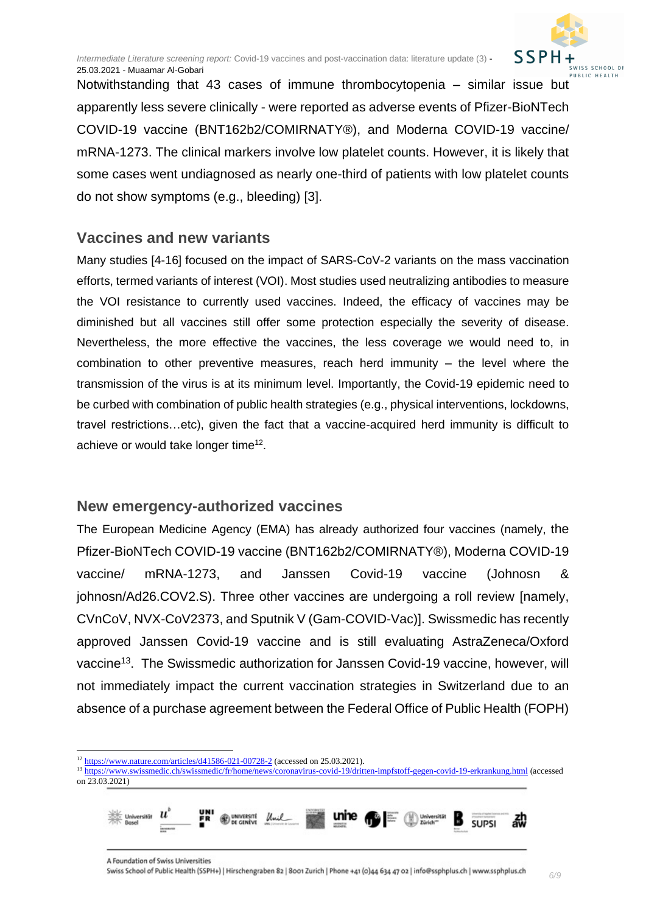

*6/9*

Notwithstanding that 43 cases of immune thrombocytopenia – similar issue but apparently less severe clinically - were reported as adverse events of Pfizer-BioNTech COVID-19 vaccine (BNT162b2/COMIRNATY®), and Moderna COVID-19 vaccine/ mRNA-1273. The clinical markers involve low platelet counts. However, it is likely that some cases went undiagnosed as nearly one-third of patients with low platelet counts do not show symptoms (e.g., bleeding) [3].

#### <span id="page-5-0"></span>**Vaccines and new variants**

Many studies [4-16] focused on the impact of SARS-CoV-2 variants on the mass vaccination efforts, termed variants of interest (VOI). Most studies used neutralizing antibodies to measure the VOI resistance to currently used vaccines. Indeed, the efficacy of vaccines may be diminished but all vaccines still offer some protection especially the severity of disease. Nevertheless, the more effective the vaccines, the less coverage we would need to, in combination to other preventive measures, reach herd immunity – the level where the transmission of the virus is at its minimum level. Importantly, the Covid-19 epidemic need to be curbed with combination of public health strategies (e.g., physical interventions, lockdowns, travel restrictions…etc), given the fact that a vaccine-acquired herd immunity is difficult to achieve or would take longer time<sup>12</sup>.

#### <span id="page-5-1"></span>**New emergency-authorized vaccines**

The European Medicine Agency (EMA) has already authorized four vaccines (namely, the Pfizer-BioNTech COVID-19 vaccine (BNT162b2/COMIRNATY®), Moderna COVID-19 vaccine/ mRNA-1273, and Janssen Covid-19 vaccine (Johnosn & iohnosn/Ad26.COV2.S). Three other vaccines are undergoing a roll review [namely, CVnCoV, NVX-CoV2373, and Sputnik V (Gam-COVID-Vac)]. Swissmedic has recently approved Janssen Covid-19 vaccine and is still evaluating AstraZeneca/Oxford vaccine<sup>13</sup>. The Swissmedic authorization for Janssen Covid-19 vaccine, however, will not immediately impact the current vaccination strategies in Switzerland due to an absence of a purchase agreement between the Federal Office of Public Health (FOPH)

<sup>13</sup> <https://www.swissmedic.ch/swissmedic/fr/home/news/coronavirus-covid-19/dritten-impfstoff-gegen-covid-19-erkrankung.html> (accessed on 23.03.2021)



<sup>12</sup> <https://www.nature.com/articles/d41586-021-00728-2> (accessed on 25.03.2021).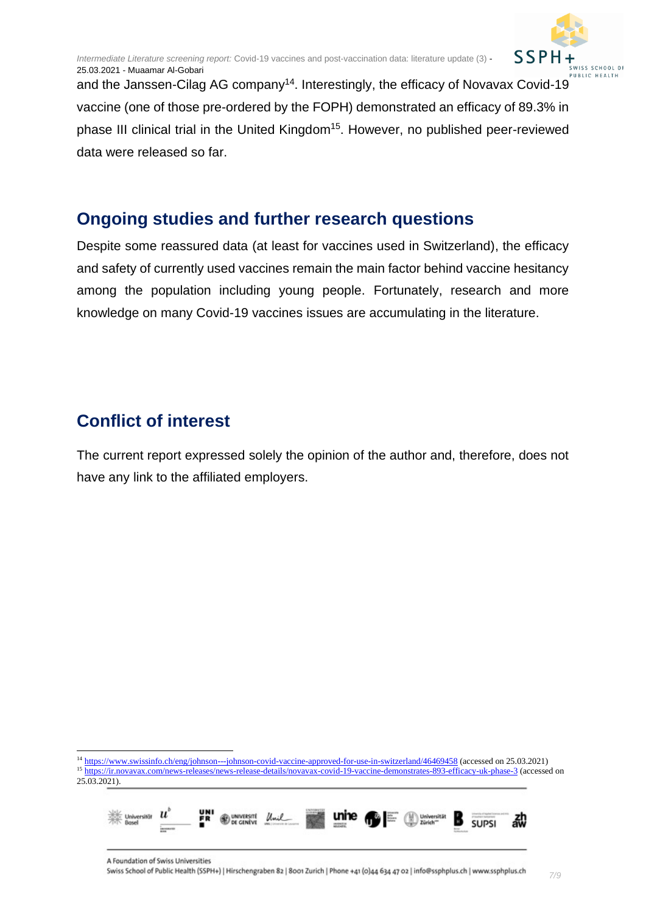

and the Janssen-Cilag AG company<sup>14</sup>. Interestingly, the efficacy of Novavax Covid-19 vaccine (one of those pre-ordered by the FOPH) demonstrated an efficacy of 89.3% in phase III clinical trial in the United Kingdom<sup>15</sup>. However, no published peer-reviewed data were released so far.

#### <span id="page-6-0"></span>**Ongoing studies and further research questions**

Despite some reassured data (at least for vaccines used in Switzerland), the efficacy and safety of currently used vaccines remain the main factor behind vaccine hesitancy among the population including young people. Fortunately, research and more knowledge on many Covid-19 vaccines issues are accumulating in the literature.

### <span id="page-6-1"></span>**Conflict of interest**

The current report expressed solely the opinion of the author and, therefore, does not have any link to the affiliated employers.

<sup>14</sup> <https://www.swissinfo.ch/eng/johnson---johnson-covid-vaccine-approved-for-use-in-switzerland/46469458> (accessed on 25.03.2021) <sup>15</sup> https://ir.novav<u>ax.com/news-releases/news-release-details/novavax-covid-19-vaccine-demonstrates-893-efficacy-uk-phase-3 (accessed on</u>  $25.03.2021$ .

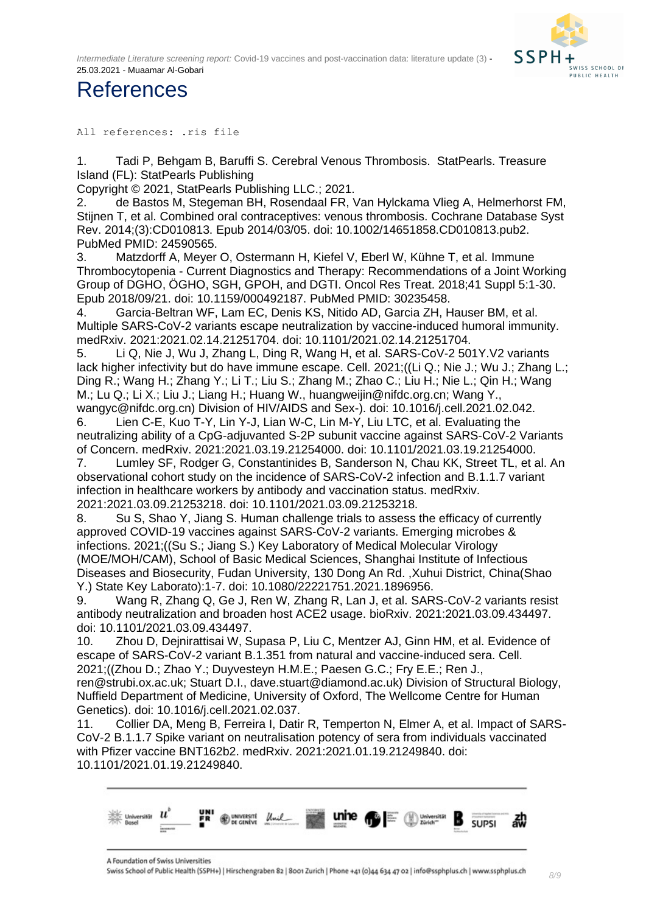*Intermediate Literature screening report:* Covid-19 vaccines and post-vaccination data: literature update (3) - 25.03.2021 - Muaamar Al-Gobari



## <span id="page-7-0"></span>References

All references: .ris file

1. Tadi P, Behgam B, Baruffi S. Cerebral Venous Thrombosis. StatPearls. Treasure Island (FL): StatPearls Publishing

Copyright © 2021, StatPearls Publishing LLC.; 2021.

2. de Bastos M, Stegeman BH, Rosendaal FR, Van Hylckama Vlieg A, Helmerhorst FM, Stijnen T, et al. Combined oral contraceptives: venous thrombosis. Cochrane Database Syst Rev. 2014;(3):CD010813. Epub 2014/03/05. doi: 10.1002/14651858.CD010813.pub2. PubMed PMID: 24590565.

3. Matzdorff A, Meyer O, Ostermann H, Kiefel V, Eberl W, Kühne T, et al. Immune Thrombocytopenia - Current Diagnostics and Therapy: Recommendations of a Joint Working Group of DGHO, ÖGHO, SGH, GPOH, and DGTI. Oncol Res Treat. 2018;41 Suppl 5:1-30. Epub 2018/09/21. doi: 10.1159/000492187. PubMed PMID: 30235458.

4. Garcia-Beltran WF, Lam EC, Denis KS, Nitido AD, Garcia ZH, Hauser BM, et al. Multiple SARS-CoV-2 variants escape neutralization by vaccine-induced humoral immunity. medRxiv. 2021:2021.02.14.21251704. doi: 10.1101/2021.02.14.21251704.

5. Li Q, Nie J, Wu J, Zhang L, Ding R, Wang H, et al. SARS-CoV-2 501Y.V2 variants lack higher infectivity but do have immune escape. Cell. 2021;((Li Q.; Nie J.; Wu J.; Zhang L.; Ding R.; Wang H.; Zhang Y.; Li T.; Liu S.; Zhang M.; Zhao C.; Liu H.; Nie L.; Qin H.; Wang M.; Lu Q.; Li X.; Liu J.; Liang H.; Huang W., huangweijin@nifdc.org.cn; Wang Y., wangyc@nifdc.org.cn) Division of HIV/AIDS and Sex-). doi: 10.1016/j.cell.2021.02.042.

6. Lien C-E, Kuo T-Y, Lin Y-J, Lian W-C, Lin M-Y, Liu LTC, et al. Evaluating the neutralizing ability of a CpG-adjuvanted S-2P subunit vaccine against SARS-CoV-2 Variants of Concern. medRxiv. 2021:2021.03.19.21254000. doi: 10.1101/2021.03.19.21254000.

7. Lumley SF, Rodger G, Constantinides B, Sanderson N, Chau KK, Street TL, et al. An observational cohort study on the incidence of SARS-CoV-2 infection and B.1.1.7 variant infection in healthcare workers by antibody and vaccination status. medRxiv. 2021:2021.03.09.21253218. doi: 10.1101/2021.03.09.21253218.

8. Su S, Shao Y, Jiang S. Human challenge trials to assess the efficacy of currently approved COVID-19 vaccines against SARS-CoV-2 variants. Emerging microbes & infections. 2021;((Su S.; Jiang S.) Key Laboratory of Medical Molecular Virology (MOE/MOH/CAM), School of Basic Medical Sciences, Shanghai Institute of Infectious Diseases and Biosecurity, Fudan University, 130 Dong An Rd. ,Xuhui District, China(Shao Y.) State Key Laborato):1-7. doi: 10.1080/22221751.2021.1896956.

9. Wang R, Zhang Q, Ge J, Ren W, Zhang R, Lan J, et al. SARS-CoV-2 variants resist antibody neutralization and broaden host ACE2 usage. bioRxiv. 2021:2021.03.09.434497. doi: 10.1101/2021.03.09.434497.

10. Zhou D, Dejnirattisai W, Supasa P, Liu C, Mentzer AJ, Ginn HM, et al. Evidence of escape of SARS-CoV-2 variant B.1.351 from natural and vaccine-induced sera. Cell. 2021;((Zhou D.; Zhao Y.; Duyvesteyn H.M.E.; Paesen G.C.; Fry E.E.; Ren J.,

ren@strubi.ox.ac.uk; Stuart D.I., dave.stuart@diamond.ac.uk) Division of Structural Biology, Nuffield Department of Medicine, University of Oxford, The Wellcome Centre for Human Genetics). doi: 10.1016/j.cell.2021.02.037.

11. Collier DA, Meng B, Ferreira I, Datir R, Temperton N, Elmer A, et al. Impact of SARS-CoV-2 B.1.1.7 Spike variant on neutralisation potency of sera from individuals vaccinated with Pfizer vaccine BNT162b2. medRxiv. 2021:2021.01.19.21249840. doi: 10.1101/2021.01.19.21249840.